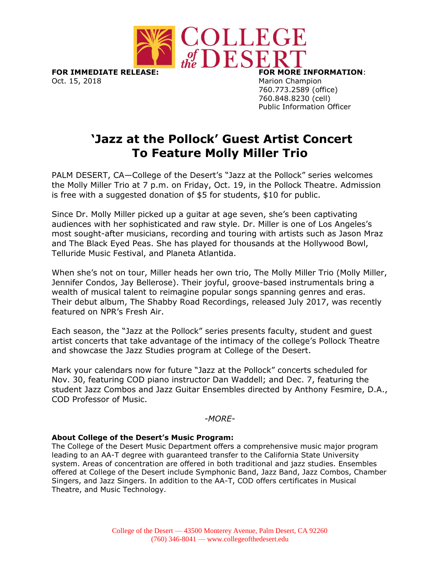

**FOR IMMEDIATE RELEASE: FOR MORE INFORMATION**: Oct. 15, 2018 Marion Champion

760.773.2589 (office) 760.848.8230 (cell) Public Information Officer

## **'Jazz at the Pollock' Guest Artist Concert To Feature Molly Miller Trio**

PALM DESERT, CA—College of the Desert's "Jazz at the Pollock" series welcomes the Molly Miller Trio at 7 p.m. on Friday, Oct. 19, in the Pollock Theatre. Admission is free with a suggested donation of \$5 for students, \$10 for public.

Since Dr. Molly Miller picked up a guitar at age seven, she's been captivating audiences with her sophisticated and raw style. Dr. Miller is one of Los Angeles's most sought-after musicians, recording and touring with artists such as Jason Mraz and The Black Eyed Peas. She has played for thousands at the Hollywood Bowl, Telluride Music Festival, and Planeta Atlantida.

When she's not on tour, Miller heads her own trio, The Molly Miller Trio (Molly Miller, Jennifer Condos, Jay Bellerose). Their joyful, groove-based instrumentals bring a wealth of musical talent to reimagine popular songs spanning genres and eras. Their debut album, The Shabby Road Recordings, released July 2017, was recently featured on NPR's Fresh Air.

Each season, the "Jazz at the Pollock" series presents faculty, student and guest artist concerts that take advantage of the intimacy of the college's Pollock Theatre and showcase the Jazz Studies program at College of the Desert.

Mark your calendars now for future "Jazz at the Pollock" concerts scheduled for Nov. 30, featuring COD piano instructor Dan Waddell; and Dec. 7, featuring the student Jazz Combos and Jazz Guitar Ensembles directed by Anthony Fesmire, D.A., COD Professor of Music.

## *-MORE-*

## **About College of the Desert's Music Program:**

The College of the Desert Music Department offers a comprehensive music major program leading to an AA-T degree with guaranteed transfer to the California State University system. Areas of concentration are offered in both traditional and jazz studies. Ensembles offered at College of the Desert include Symphonic Band, Jazz Band, Jazz Combos, Chamber Singers, and Jazz Singers. In addition to the AA-T, COD offers certificates in Musical Theatre, and Music Technology.